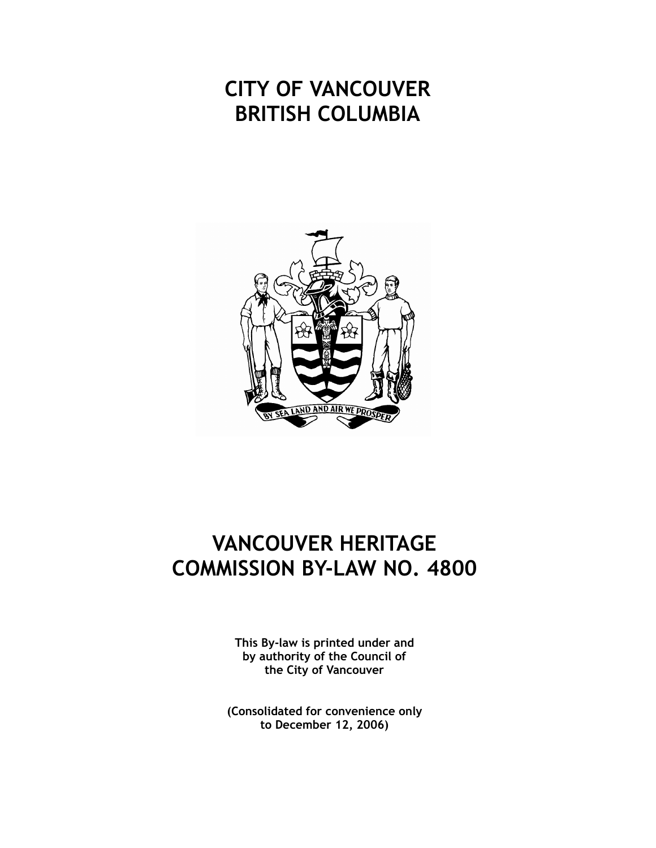## **CITY OF VANCOUVER BRITISH COLUMBIA**



## **VANCOUVER HERITAGE COMMISSION BY-LAW NO. 4800**

**This By-law is printed under and by authority of the Council of the City of Vancouver**

**(Consolidated for convenience only to December 12, 2006)**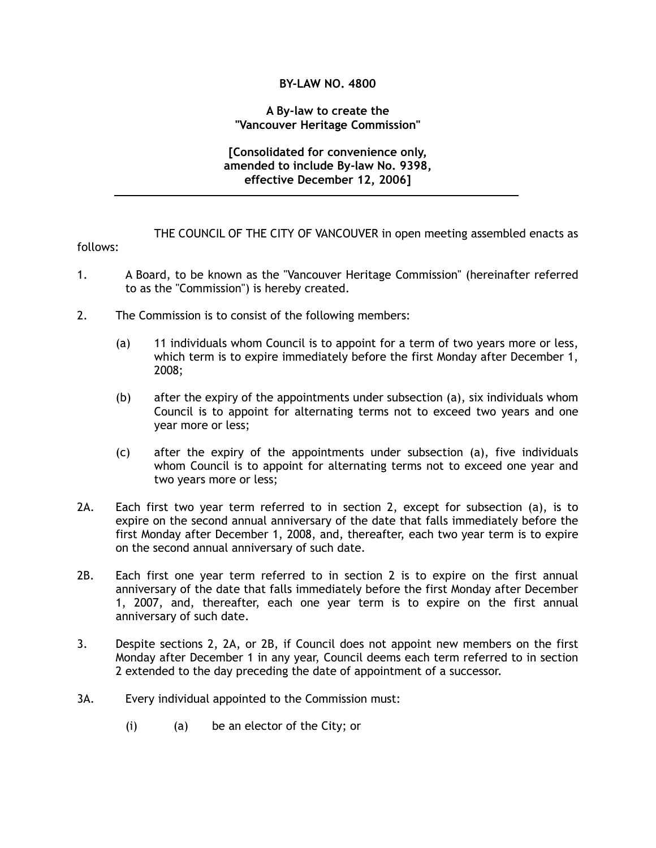## **BY-LAW NO. 4800**

**A By-law to create the "Vancouver Heritage Commission"** 

**[Consolidated for convenience only, amended to include By-law No. 9398, effective December 12, 2006]**

THE COUNCIL OF THE CITY OF VANCOUVER in open meeting assembled enacts as follows:

- 1. A Board, to be known as the "Vancouver Heritage Commission" (hereinafter referred to as the "Commission") is hereby created.
- 2. The Commission is to consist of the following members:
	- (a) 11 individuals whom Council is to appoint for a term of two years more or less, which term is to expire immediately before the first Monday after December 1, 2008;
	- (b) after the expiry of the appointments under subsection (a), six individuals whom Council is to appoint for alternating terms not to exceed two years and one year more or less;
	- (c) after the expiry of the appointments under subsection (a), five individuals whom Council is to appoint for alternating terms not to exceed one year and two years more or less;
- 2A. Each first two year term referred to in section 2, except for subsection (a), is to expire on the second annual anniversary of the date that falls immediately before the first Monday after December 1, 2008, and, thereafter, each two year term is to expire on the second annual anniversary of such date.
- 2B. Each first one year term referred to in section 2 is to expire on the first annual anniversary of the date that falls immediately before the first Monday after December 1, 2007, and, thereafter, each one year term is to expire on the first annual anniversary of such date.
- 3. Despite sections 2, 2A, or 2B, if Council does not appoint new members on the first Monday after December 1 in any year, Council deems each term referred to in section 2 extended to the day preceding the date of appointment of a successor.
- 3A. Every individual appointed to the Commission must:
	- (i)  $(a)$  be an elector of the City; or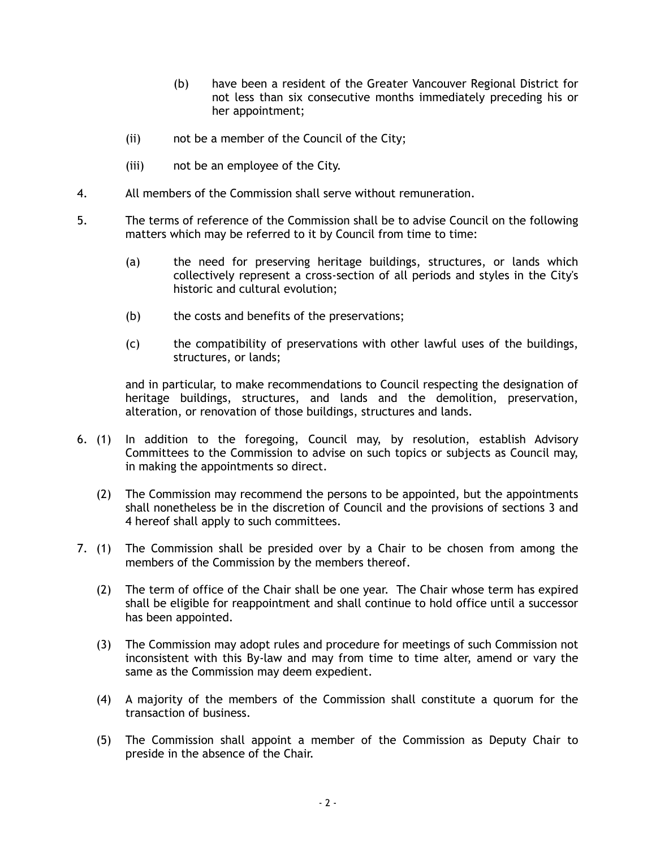- (b) have been a resident of the Greater Vancouver Regional District for not less than six consecutive months immediately preceding his or her appointment;
- (ii) not be a member of the Council of the City;
- (iii) not be an employee of the City.
- 4. All members of the Commission shall serve without remuneration.
- 5. The terms of reference of the Commission shall be to advise Council on the following matters which may be referred to it by Council from time to time:
	- (a) the need for preserving heritage buildings, structures, or lands which collectively represent a cross-section of all periods and styles in the City's historic and cultural evolution;
	- (b) the costs and benefits of the preservations;
	- (c) the compatibility of preservations with other lawful uses of the buildings, structures, or lands;

and in particular, to make recommendations to Council respecting the designation of heritage buildings, structures, and lands and the demolition, preservation, alteration, or renovation of those buildings, structures and lands.

- 6. (1) In addition to the foregoing, Council may, by resolution, establish Advisory Committees to the Commission to advise on such topics or subjects as Council may, in making the appointments so direct.
	- (2) The Commission may recommend the persons to be appointed, but the appointments shall nonetheless be in the discretion of Council and the provisions of sections 3 and 4 hereof shall apply to such committees.
- 7. (1) The Commission shall be presided over by a Chair to be chosen from among the members of the Commission by the members thereof.
	- (2) The term of office of the Chair shall be one year. The Chair whose term has expired shall be eligible for reappointment and shall continue to hold office until a successor has been appointed.
	- (3) The Commission may adopt rules and procedure for meetings of such Commission not inconsistent with this By-law and may from time to time alter, amend or vary the same as the Commission may deem expedient.
	- (4) A majority of the members of the Commission shall constitute a quorum for the transaction of business.
	- (5) The Commission shall appoint a member of the Commission as Deputy Chair to preside in the absence of the Chair.